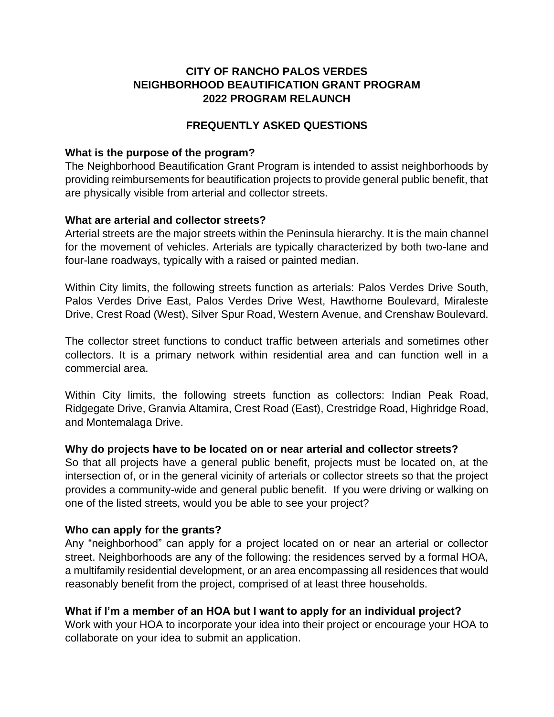# **CITY OF RANCHO PALOS VERDES NEIGHBORHOOD BEAUTIFICATION GRANT PROGRAM 2022 PROGRAM RELAUNCH**

## **FREQUENTLY ASKED QUESTIONS**

#### **What is the purpose of the program?**

The Neighborhood Beautification Grant Program is intended to assist neighborhoods by providing reimbursements for beautification projects to provide general public benefit, that are physically visible from arterial and collector streets.

### **What are arterial and collector streets?**

Arterial streets are the major streets within the Peninsula hierarchy. It is the main channel for the movement of vehicles. Arterials are typically characterized by both two-lane and four-lane roadways, typically with a raised or painted median.

Within City limits, the following streets function as arterials: Palos Verdes Drive South, Palos Verdes Drive East, Palos Verdes Drive West, Hawthorne Boulevard, Miraleste Drive, Crest Road (West), Silver Spur Road, Western Avenue, and Crenshaw Boulevard.

The collector street functions to conduct traffic between arterials and sometimes other collectors. It is a primary network within residential area and can function well in a commercial area.

Within City limits, the following streets function as collectors: Indian Peak Road, Ridgegate Drive, Granvia Altamira, Crest Road (East), Crestridge Road, Highridge Road, and Montemalaga Drive.

### **Why do projects have to be located on or near arterial and collector streets?**

So that all projects have a general public benefit, projects must be located on, at the intersection of, or in the general vicinity of arterials or collector streets so that the project provides a community-wide and general public benefit. If you were driving or walking on one of the listed streets, would you be able to see your project?

### **Who can apply for the grants?**

Any "neighborhood" can apply for a project located on or near an arterial or collector street. Neighborhoods are any of the following: the residences served by a formal HOA, a multifamily residential development, or an area encompassing all residences that would reasonably benefit from the project, comprised of at least three households.

### **What if I'm a member of an HOA but I want to apply for an individual project?**

Work with your HOA to incorporate your idea into their project or encourage your HOA to collaborate on your idea to submit an application.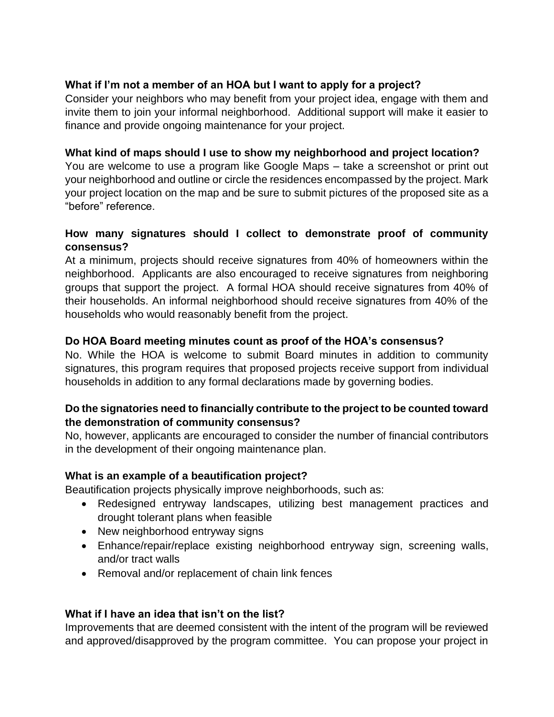# **What if I'm not a member of an HOA but I want to apply for a project?**

Consider your neighbors who may benefit from your project idea, engage with them and invite them to join your informal neighborhood. Additional support will make it easier to finance and provide ongoing maintenance for your project.

## **What kind of maps should I use to show my neighborhood and project location?**

You are welcome to use a program like Google Maps – take a screenshot or print out your neighborhood and outline or circle the residences encompassed by the project. Mark your project location on the map and be sure to submit pictures of the proposed site as a "before" reference.

# **How many signatures should I collect to demonstrate proof of community consensus?**

At a minimum, projects should receive signatures from 40% of homeowners within the neighborhood. Applicants are also encouraged to receive signatures from neighboring groups that support the project. A formal HOA should receive signatures from 40% of their households. An informal neighborhood should receive signatures from 40% of the households who would reasonably benefit from the project.

# **Do HOA Board meeting minutes count as proof of the HOA's consensus?**

No. While the HOA is welcome to submit Board minutes in addition to community signatures, this program requires that proposed projects receive support from individual households in addition to any formal declarations made by governing bodies.

### **Do the signatories need to financially contribute to the project to be counted toward the demonstration of community consensus?**

No, however, applicants are encouraged to consider the number of financial contributors in the development of their ongoing maintenance plan.

### **What is an example of a beautification project?**

Beautification projects physically improve neighborhoods, such as:

- Redesigned entryway landscapes, utilizing best management practices and drought tolerant plans when feasible
- New neighborhood entryway signs
- Enhance/repair/replace existing neighborhood entryway sign, screening walls, and/or tract walls
- Removal and/or replacement of chain link fences

# **What if I have an idea that isn't on the list?**

Improvements that are deemed consistent with the intent of the program will be reviewed and approved/disapproved by the program committee. You can propose your project in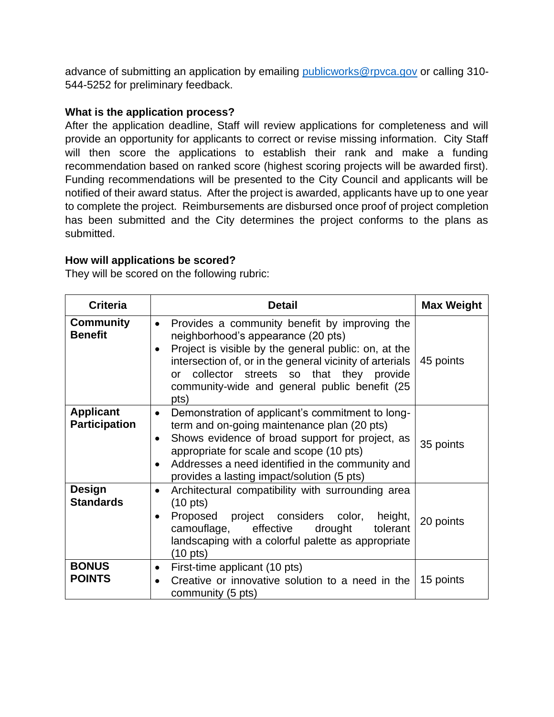advance of submitting an application by emailing [publicworks@rpvca.gov](mailto:publicworks@rpvca.gov) or calling 310-544-5252 for preliminary feedback.

### **What is the application process?**

After the application deadline, Staff will review applications for completeness and will provide an opportunity for applicants to correct or revise missing information. City Staff will then score the applications to establish their rank and make a funding recommendation based on ranked score (highest scoring projects will be awarded first). Funding recommendations will be presented to the City Council and applicants will be notified of their award status. After the project is awarded, applicants have up to one year to complete the project. Reimbursements are disbursed once proof of project completion has been submitted and the City determines the project conforms to the plans as submitted.

### **How will applications be scored?**

They will be scored on the following rubric:

| <b>Criteria</b>                          | <b>Detail</b>                                                                                                                                                                                                                                                                                                                                    | <b>Max Weight</b> |
|------------------------------------------|--------------------------------------------------------------------------------------------------------------------------------------------------------------------------------------------------------------------------------------------------------------------------------------------------------------------------------------------------|-------------------|
| <b>Community</b><br><b>Benefit</b>       | Provides a community benefit by improving the<br>$\bullet$<br>neighborhood's appearance (20 pts)<br>Project is visible by the general public: on, at the<br>$\bullet$<br>intersection of, or in the general vicinity of arterials<br>collector streets so that they provide<br>$\alpha$<br>community-wide and general public benefit (25<br>pts) | 45 points         |
| <b>Applicant</b><br><b>Participation</b> | Demonstration of applicant's commitment to long-<br>$\bullet$<br>term and on-going maintenance plan (20 pts)<br>Shows evidence of broad support for project, as<br>$\bullet$<br>appropriate for scale and scope (10 pts)<br>Addresses a need identified in the community and<br>$\bullet$<br>provides a lasting impact/solution (5 pts)          | 35 points         |
| <b>Design</b><br><b>Standards</b>        | Architectural compatibility with surrounding area<br>٠<br>$(10 \text{ pts})$<br>Proposed project considers color,<br>height,<br>٠<br>camouflage, effective<br>drought<br>tolerant<br>landscaping with a colorful palette as appropriate<br>$(10 \text{ pts})$                                                                                    | 20 points         |
| <b>BONUS</b><br><b>POINTS</b>            | First-time applicant (10 pts)<br>$\bullet$<br>Creative or innovative solution to a need in the<br>$\bullet$<br>community (5 pts)                                                                                                                                                                                                                 | 15 points         |